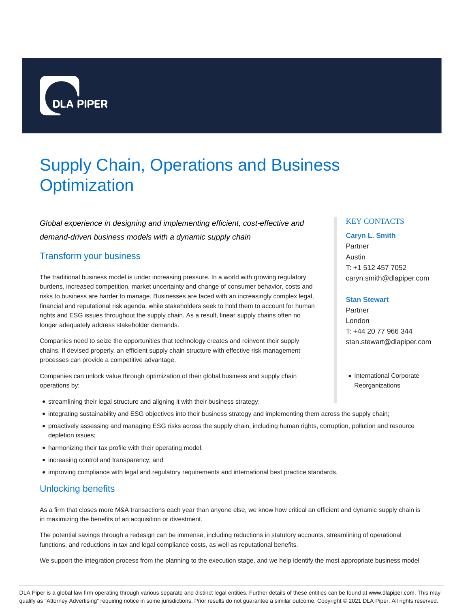

# Supply Chain, Operations and Business **Optimization**

Global experience in designing and implementing efficient, cost-effective and demand-driven business models with a dynamic supply chain

# Transform your business

The traditional business model is under increasing pressure. In a world with growing regulatory burdens, increased competition, market uncertainty and change of consumer behavior, costs and risks to business are harder to manage. Businesses are faced with an increasingly complex legal, financial and reputational risk agenda, while stakeholders seek to hold them to account for human rights and ESG issues throughout the supply chain. As a result, linear supply chains often no longer adequately address stakeholder demands.

Companies need to seize the opportunities that technology creates and reinvent their supply chains. If devised properly, an efficient supply chain structure with effective risk management processes can provide a competitive advantage.

Companies can unlock value through optimization of their global business and supply chain operations by:

- streamlining their legal structure and aligning it with their business strategy;
- integrating sustainability and ESG objectives into their business strategy and implementing them across the supply chain;
- proactively assessing and managing ESG risks across the supply chain, including human rights, corruption, pollution and resource depletion issues;
- harmonizing their tax profile with their operating model;
- increasing control and transparency; and
- improving compliance with legal and regulatory requirements and international best practice standards.

# Unlocking benefits

As a firm that closes more M&A transactions each year than anyone else, we know how critical an efficient and dynamic supply chain is in maximizing the benefits of an acquisition or divestment.

The potential savings through a redesign can be immense, including reductions in statutory accounts, streamlining of operational functions, and reductions in tax and legal compliance costs, as well as reputational benefits.

We support the integration process from the planning to the execution stage, and we help identify the most appropriate business model

## KEY CONTACTS

### **Caryn L. Smith**

Partner Austin T: +1 512 457 7052 caryn.smith@dlapiper.com

#### **Stan Stewart**

Partner London T: +44 20 77 966 344 stan.stewart@dlapiper.com

• International Corporate **Reorganizations** 

DLA Piper is a global law firm operating through various separate and distinct legal entities. Further details of these entities can be found at www.dlapiper.com. This may qualify as "Attorney Advertising" requiring notice in some jurisdictions. Prior results do not guarantee a similar outcome. Copyright @ 2021 DLA Piper. All rights reserved.